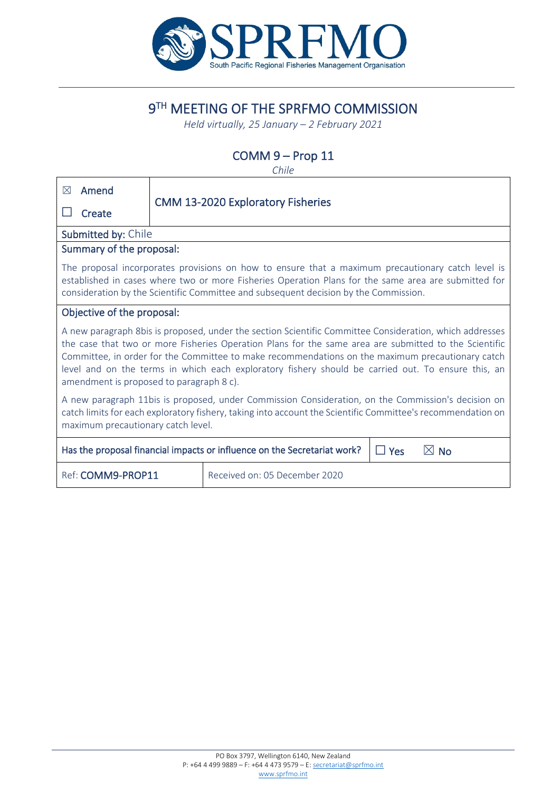

# 9TH MEETING OF THE SPRFMO COMMISSION

*Held virtually, 25 January – 2 February 2021*

## COMM 9 – Prop 11

*Chile*

| Amend<br>⊠<br>Create                                                                                                                                                                                                                                                                                                                                                                                                                                                   | <b>CMM 13-2020 Exploratory Fisheries</b> |
|------------------------------------------------------------------------------------------------------------------------------------------------------------------------------------------------------------------------------------------------------------------------------------------------------------------------------------------------------------------------------------------------------------------------------------------------------------------------|------------------------------------------|
| <b>Submitted by: Chile</b>                                                                                                                                                                                                                                                                                                                                                                                                                                             |                                          |
| Summary of the proposal:                                                                                                                                                                                                                                                                                                                                                                                                                                               |                                          |
| The proposal incorporates provisions on how to ensure that a maximum precautionary catch level is<br>established in cases where two or more Fisheries Operation Plans for the same area are submitted for<br>consideration by the Scientific Committee and subsequent decision by the Commission.                                                                                                                                                                      |                                          |
| Objective of the proposal:                                                                                                                                                                                                                                                                                                                                                                                                                                             |                                          |
| A new paragraph 8bis is proposed, under the section Scientific Committee Consideration, which addresses<br>the case that two or more Fisheries Operation Plans for the same area are submitted to the Scientific<br>Committee, in order for the Committee to make recommendations on the maximum precautionary catch<br>level and on the terms in which each exploratory fishery should be carried out. To ensure this, an<br>amendment is proposed to paragraph 8 c). |                                          |
| A new paragraph 11bis is proposed, under Commission Consideration, on the Commission's decision on<br>catch limits for each exploratory fishery, taking into account the Scientific Committee's recommendation on<br>maximum precautionary catch level.                                                                                                                                                                                                                |                                          |
| Has the proposal financial impacts or influence on the Secretariat work?<br>$\boxtimes$ No<br>$\Box$ Yes                                                                                                                                                                                                                                                                                                                                                               |                                          |
| Ref: COMM9-PROP11                                                                                                                                                                                                                                                                                                                                                                                                                                                      | Received on: 05 December 2020            |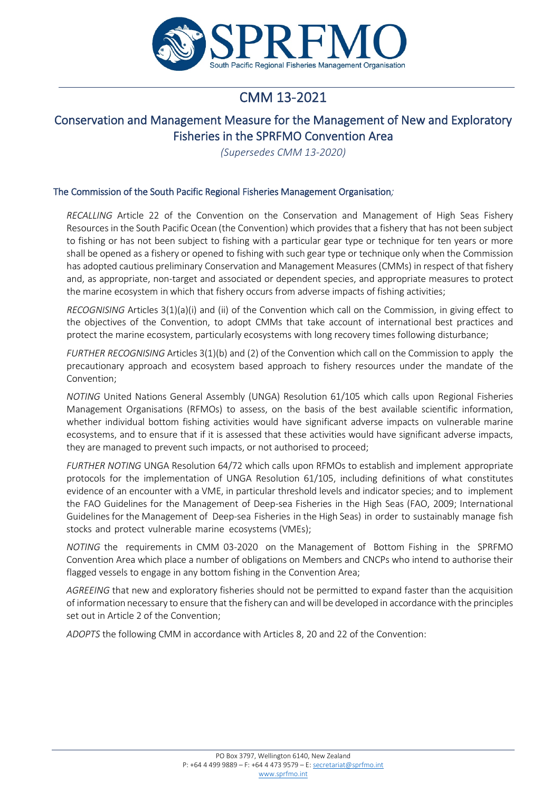

# CMM 13-2021

## Conservation and Management Measure for the Management of New and Exploratory Fisheries in the SPRFMO Convention Area

*(Supersedes CMM 13-2020)*

### The Commission of the South Pacific Regional Fisheries Management Organisation*;*

*RECALLING* Article 22 of the Convention on the Conservation and Management of High Seas Fishery Resources in the South Pacific Ocean (the Convention) which provides that a fishery that has not been subject to fishing or has not been subject to fishing with a particular gear type or technique for ten years or more shall be opened as a fishery or opened to fishing with such gear type or technique only when the Commission has adopted cautious preliminary Conservation and Management Measures(CMMs) in respect of that fishery and, as appropriate, non-target and associated or dependent species, and appropriate measures to protect the marine ecosystem in which that fishery occurs from adverse impacts of fishing activities;

*RECOGNISING* Articles 3(1)(a)(i) and (ii) of the Convention which call on the Commission, in giving effect to the objectives of the Convention, to adopt CMMs that take account of international best practices and protect the marine ecosystem, particularly ecosystems with long recovery times following disturbance;

*FURTHER RECOGNISING* Articles 3(1)(b) and (2) of the Convention which call on the Commission to apply the precautionary approach and ecosystem based approach to fishery resources under the mandate of the Convention;

*NOTING* United Nations General Assembly (UNGA) Resolution 61/105 which calls upon Regional Fisheries Management Organisations (RFMOs) to assess, on the basis of the best available scientific information, whether individual bottom fishing activities would have significant adverse impacts on vulnerable marine ecosystems, and to ensure that if it is assessed that these activities would have significant adverse impacts, they are managed to prevent such impacts, or not authorised to proceed;

*FURTHER NOTING* UNGA Resolution 64/72 which calls upon RFMOs to establish and implement appropriate protocols for the implementation of UNGA Resolution 61/105, including definitions of what constitutes evidence of an encounter with a VME, in particular threshold levels and indicator species; and to implement the FAO Guidelines for the Management of Deep-sea Fisheries in the High Seas (FAO, 2009; International Guidelines for the Management of Deep-sea Fisheries in the High Seas) in order to sustainably manage fish stocks and protect vulnerable marine ecosystems (VMEs);

*NOTING* the requirements in CMM 03-2020 on the Management of Bottom Fishing in the SPRFMO Convention Area which place a number of obligations on Members and CNCPs who intend to authorise their flagged vessels to engage in any bottom fishing in the Convention Area;

*AGREEING* that new and exploratory fisheries should not be permitted to expand faster than the acquisition of information necessary to ensure that the fishery can and will be developed in accordancewith the principles set out in Article 2 of the Convention;

*ADOPTS* the following CMM in accordance with Articles 8, 20 and 22 of the Convention: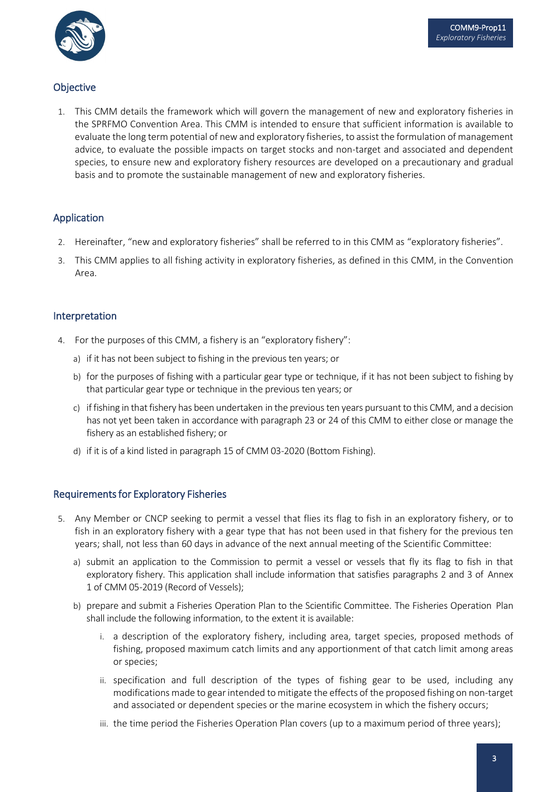

## Objective

1. This CMM details the framework which will govern the management of new and exploratory fisheries in the SPRFMO Convention Area. This CMM is intended to ensure that sufficient information is available to evaluate the long term potential of new and exploratory fisheries, to assist the formulation of management advice, to evaluate the possible impacts on target stocks and non-target and associated and dependent species, to ensure new and exploratory fishery resources are developed on a precautionary and gradual basis and to promote the sustainable management of new and exploratory fisheries.

## Application

- 2. Hereinafter, "new and exploratory fisheries" shall be referred to in this CMM as "exploratory fisheries".
- 3. This CMM applies to all fishing activity in exploratory fisheries, as defined in this CMM, in the Convention Area.

## Interpretation

- 4. For the purposes of this CMM, a fishery is an "exploratory fishery":
	- a) if it has not been subject to fishing in the previous ten years; or
	- b) for the purposes of fishing with a particular gear type or technique, if it has not been subject to fishing by that particular gear type or technique in the previous ten years; or
	- c) if fishing in that fishery has been undertaken in the previous ten years pursuant to this CMM, and a decision has not yet been taken in accordance with paragraph 23 or 24 of this CMM to either close or manage the fishery as an established fishery; or
	- d) if it is of a kind listed in paragraph 15 of CMM 03-2020 (Bottom Fishing).

## Requirements for Exploratory Fisheries

- 5. Any Member or CNCP seeking to permit a vessel that flies its flag to fish in an exploratory fishery, or to fish in an exploratory fishery with a gear type that has not been used in that fishery for the previous ten years; shall, not less than 60 days in advance of the next annual meeting of the Scientific Committee:
	- a) submit an application to the Commission to permit a vessel or vessels that fly its flag to fish in that exploratory fishery. This application shall include information that satisfies paragraphs 2 and 3 of Annex 1 of CMM 05-2019 (Record of Vessels);
	- b) prepare and submit a Fisheries Operation Plan to the Scientific Committee. The Fisheries Operation Plan shall include the following information, to the extent it is available:
		- i. a description of the exploratory fishery, including area, target species, proposed methods of fishing, proposed maximum catch limits and any apportionment of that catch limit among areas or species;
		- ii. specification and full description of the types of fishing gear to be used, including any modifications made to gear intended to mitigate the effects of the proposed fishing on non-target and associated or dependent species or the marine ecosystem in which the fishery occurs;
		- iii. the time period the Fisheries Operation Plan covers (up to a maximum period of three years);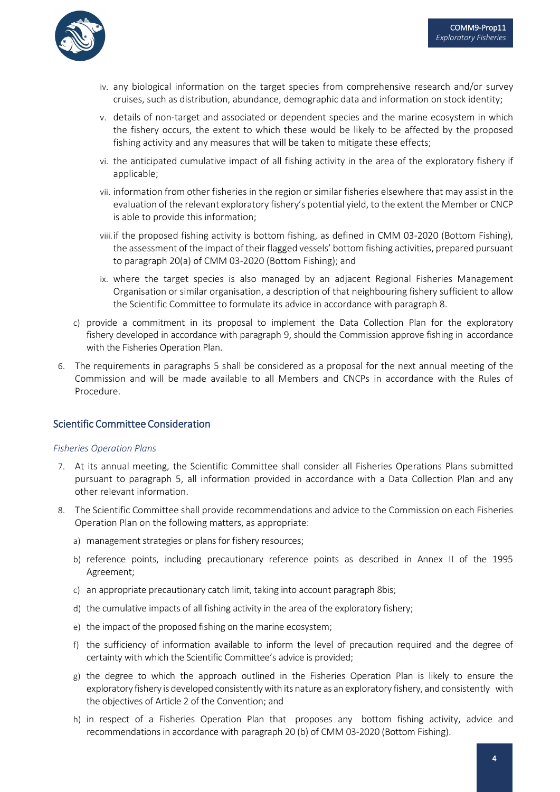

- iv. any biological information on the target species from comprehensive research and/or survey cruises, such as distribution, abundance, demographic data and information on stock identity;
- v. details of non-target and associated or dependent species and the marine ecosystem in which the fishery occurs, the extent to which these would be likely to be affected by the proposed fishing activity and any measures that will be taken to mitigate these effects;
- vi. the anticipated cumulative impact of all fishing activity in the area of the exploratory fishery if applicable;
- vii. information from other fisheries in the region or similar fisheries elsewhere that may assist in the evaluation of the relevant exploratory fishery's potential yield, to the extent the Member or CNCP is able to provide this information;
- viii.if the proposed fishing activity is bottom fishing, as defined in CMM 03-2020 (Bottom Fishing), the assessment of the impact of their flagged vessels' bottom fishing activities, prepared pursuant to paragraph 20(a) of CMM 03-2020 (Bottom Fishing); and
- ix. where the target species is also managed by an adjacent Regional Fisheries Management Organisation or similar organisation, a description of that neighbouring fishery sufficient to allow the Scientific Committee to formulate its advice in accordance with paragraph 8.
- c) provide a commitment in its proposal to implement the Data Collection Plan for the exploratory fishery developed in accordance with paragraph 9, should the Commission approve fishing in accordance with the Fisheries Operation Plan.
- 6. The requirements in paragraphs 5 shall be considered as a proposal for the next annual meeting of the Commission and will be made available to all Members and CNCPs in accordance with the Rules of Procedure.

## Scientific Committee Consideration

#### *Fisheries Operation Plans*

- 7. At its annual meeting, the Scientific Committee shall consider all Fisheries Operations Plans submitted pursuant to paragraph 5, all information provided in accordance with a Data Collection Plan and any other relevant information.
- 8. The Scientific Committee shall provide recommendations and advice to the Commission on each Fisheries Operation Plan on the following matters, as appropriate:
	- a) management strategies or plans for fishery resources;
	- b) reference points, including precautionary reference points as described in Annex II of the 1995 Agreement;
	- c) an appropriate precautionary catch limit, taking into account paragraph 8bis;
	- d) the cumulative impacts of all fishing activity in the area of the exploratory fishery;
	- e) the impact of the proposed fishing on the marine ecosystem;
	- f) the sufficiency of information available to inform the level of precaution required and the degree of certainty with which the Scientific Committee's advice is provided;
	- g) the degree to which the approach outlined in the Fisheries Operation Plan is likely to ensure the exploratory fishery is developed consistentlywith its nature as an exploratory fishery, and consistently with the objectives of Article 2 of the Convention; and
	- h) in respect of a Fisheries Operation Plan that proposes any bottom fishing activity, advice and recommendations in accordance with paragraph 20 (b) of CMM 03-2020 (Bottom Fishing).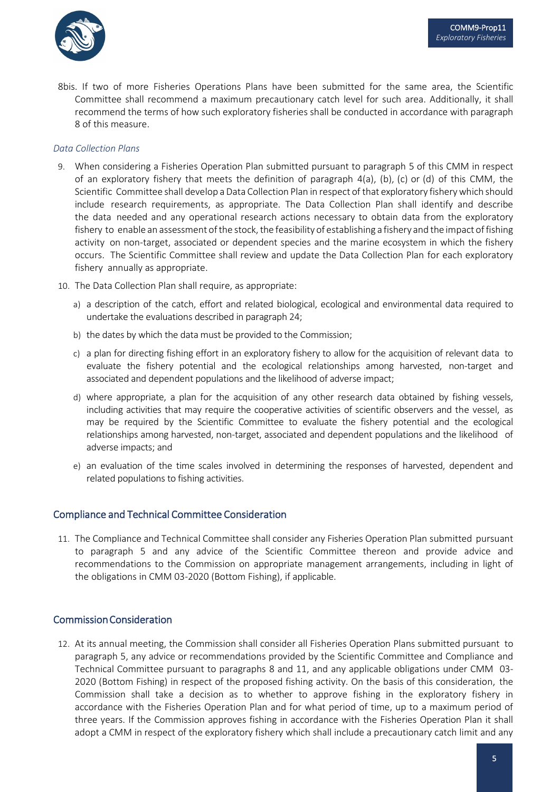

8bis. If two of more Fisheries Operations Plans have been submitted for the same area, the Scientific Committee shall recommend a maximum precautionary catch level for such area. Additionally, it shall recommend the terms of how such exploratory fisheries shall be conducted in accordance with paragraph 8 of this measure.

#### *Data Collection Plans*

- 9. When considering a Fisheries Operation Plan submitted pursuant to paragraph 5 of this CMM in respect of an exploratory fishery that meets the definition of paragraph 4(a), (b), (c) or (d) of this CMM, the Scientific Committee shall develop a Data Collection Plan in respect of that exploratory fisherywhich should include research requirements, as appropriate. The Data Collection Plan shall identify and describe the data needed and any operational research actions necessary to obtain data from the exploratory fishery to enable an assessment of the stock, the feasibility of establishing a fishery and the impact of fishing activity on non-target, associated or dependent species and the marine ecosystem in which the fishery occurs. The Scientific Committee shall review and update the Data Collection Plan for each exploratory fishery annually as appropriate.
- 10. The Data Collection Plan shall require, as appropriate:
	- a) a description of the catch, effort and related biological, ecological and environmental data required to undertake the evaluations described in paragraph 24;
	- b) the dates by which the data must be provided to the Commission;
	- c) a plan for directing fishing effort in an exploratory fishery to allow for the acquisition of relevant data to evaluate the fishery potential and the ecological relationships among harvested, non-target and associated and dependent populations and the likelihood of adverse impact;
	- d) where appropriate, a plan for the acquisition of any other research data obtained by fishing vessels, including activities that may require the cooperative activities of scientific observers and the vessel, as may be required by the Scientific Committee to evaluate the fishery potential and the ecological relationships among harvested, non-target, associated and dependent populations and the likelihood of adverse impacts; and
	- e) an evaluation of the time scales involved in determining the responses of harvested, dependent and related populations to fishing activities.

#### Compliance and Technical Committee Consideration

11. The Compliance and Technical Committee shall consider any Fisheries Operation Plan submitted pursuant to paragraph 5 and any advice of the Scientific Committee thereon and provide advice and recommendations to the Commission on appropriate management arrangements, including in light of the obligations in CMM 03-2020 (Bottom Fishing), if applicable.

#### Commission Consideration

12. At its annual meeting, the Commission shall consider all Fisheries Operation Plans submitted pursuant to paragraph 5, any advice or recommendations provided by the Scientific Committee and Compliance and Technical Committee pursuant to paragraphs 8 and 11, and any applicable obligations under CMM 03- 2020 (Bottom Fishing) in respect of the proposed fishing activity. On the basis of this consideration, the Commission shall take a decision as to whether to approve fishing in the exploratory fishery in accordance with the Fisheries Operation Plan and for what period of time, up to a maximum period of three years. If the Commission approves fishing in accordance with the Fisheries Operation Plan it shall adopt a CMM in respect of the exploratory fishery which shall include a precautionary catch limit and any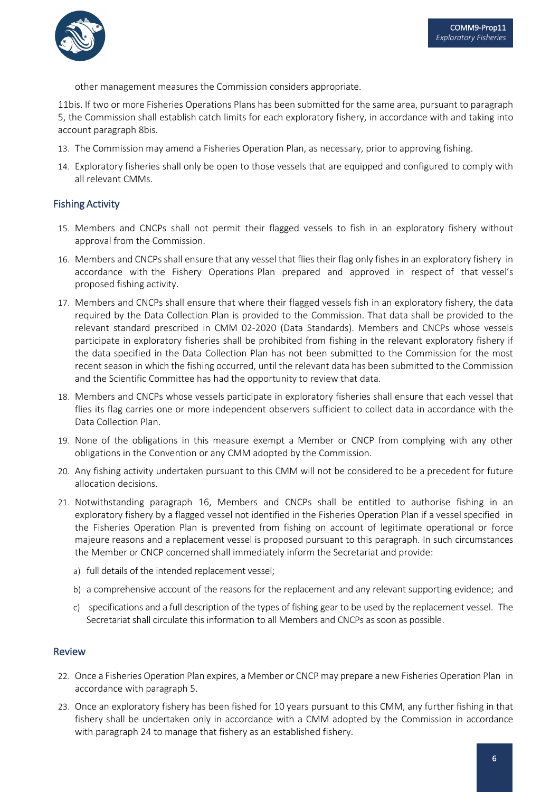

other management measures the Commission considers appropriate.

11bis. If two or more Fisheries Operations Plans has been submitted for the same area, pursuant to paragraph 5, the Commission shall establish catch limits for each exploratory fishery, in accordance with and taking into account paragraph 8bis.

- 13. The Commission may amend a Fisheries Operation Plan, as necessary, prior to approving fishing.
- 14. Exploratory fisheries shall only be open to those vessels that are equipped and configured to comply with all relevant CMMs.

### Fishing Activity

- 15. Members and CNCPs shall not permit their flagged vessels to fish in an exploratory fishery without approval from the Commission.
- 16. Members and CNCPsshall ensure that any vessel that flies their flag only fishes in an exploratory fishery in accordance with the Fishery Operations Plan prepared and approved in respect of that vessel's proposed fishing activity.
- 17. Members and CNCPs shall ensure that where their flagged vessels fish in an exploratory fishery, the data required by the Data Collection Plan is provided to the Commission. That data shall be provided to the relevant standard prescribed in CMM 02-2020 (Data Standards). Members and CNCPs whose vessels participate in exploratory fisheries shall be prohibited from fishing in the relevant exploratory fishery if the data specified in the Data Collection Plan has not been submitted to the Commission for the most recent season in which the fishing occurred, until the relevant data has been submitted to the Commission and the Scientific Committee has had the opportunity to review that data.
- 18. Members and CNCPs whose vessels participate in exploratory fisheries shall ensure that each vessel that flies its flag carries one or more independent observers sufficient to collect data in accordance with the Data Collection Plan.
- 19. None of the obligations in this measure exempt a Member or CNCP from complying with any other obligations in the Convention or any CMM adopted by the Commission.
- 20. Any fishing activity undertaken pursuant to this CMM will not be considered to be a precedent for future allocation decisions.
- 21. Notwithstanding paragraph 16, Members and CNCPs shall be entitled to authorise fishing in an exploratory fishery by a flagged vessel not identified in the Fisheries Operation Plan if a vessel specified in the Fisheries Operation Plan is prevented from fishing on account of legitimate operational or force majeure reasons and a replacement vessel is proposed pursuant to this paragraph. In such circumstances the Member or CNCP concerned shall immediately inform the Secretariat and provide:
	- a) full details of the intended replacement vessel;
	- b) a comprehensive account of the reasons for the replacement and any relevant supporting evidence; and
	- c) specifications and a full description of the types of fishing gear to be used by the replacement vessel. The Secretariat shall circulate this information to all Members and CNCPs as soon as possible.

#### Review

- 22. Once a Fisheries Operation Plan expires, a Member or CNCP may prepare a new Fisheries Operation Plan in accordance with paragraph 5.
- 23. Once an exploratory fishery has been fished for 10 years pursuant to this CMM, any further fishing in that fishery shall be undertaken only in accordance with a CMM adopted by the Commission in accordance with paragraph 24 to manage that fishery as an established fishery.